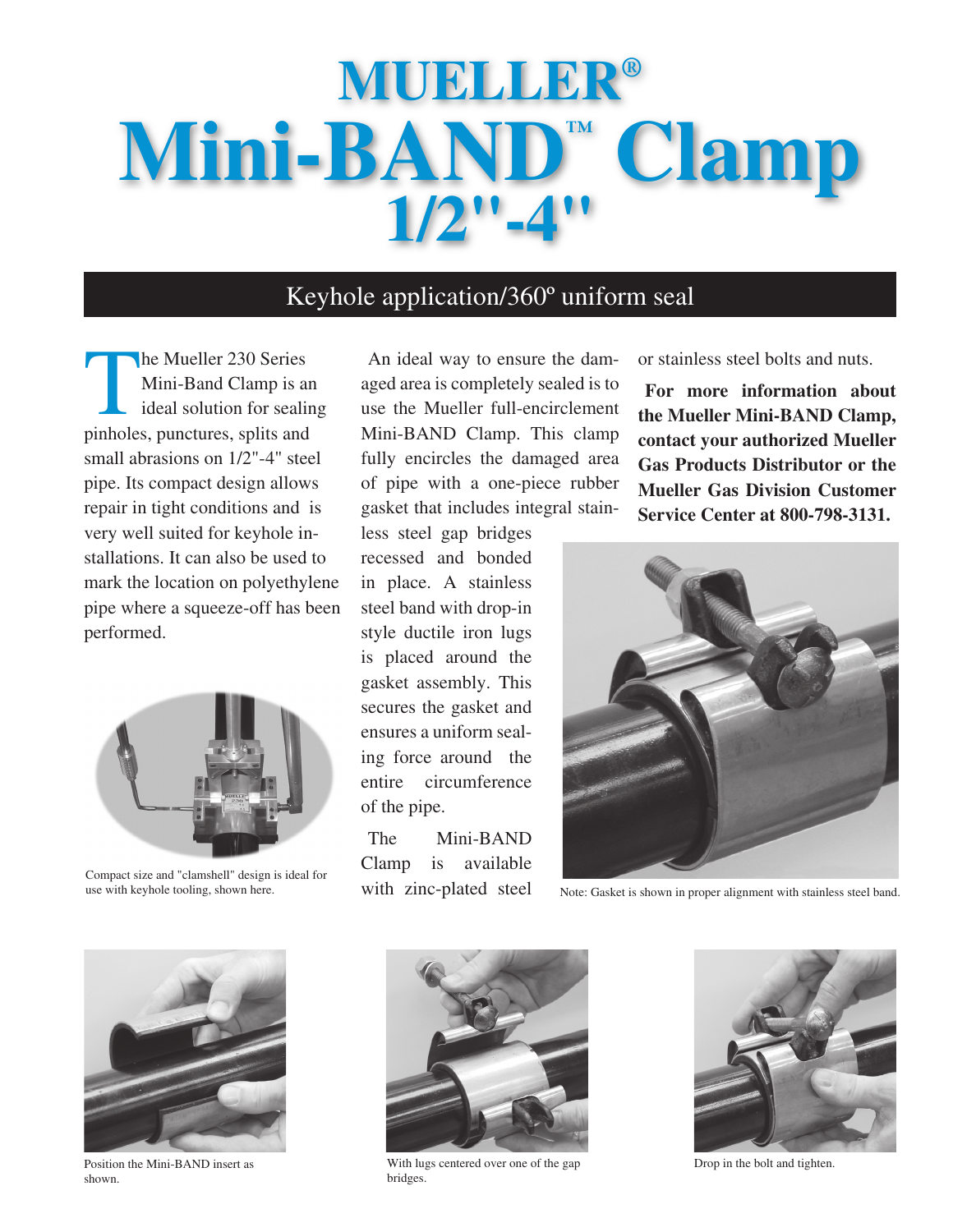# **Mueller® Mini-BAND™ Clamp 1/2"-4"**

## Keyhole application/360º uniform seal

The Mueller 230 Series<br>Mini-Band Clamp is an<br>ideal solution for sealing Mini-Band Clamp is an ideal solution for sealing pinholes, punctures, splits and small abrasions on 1/2"-4" steel pipe. Its compact design allows repair in tight conditions and is very well suited for keyhole installations. It can also be used to mark the location on polyethylene pipe where a squeeze-off has been performed.



Compact size and "clamshell" design is ideal for use with keyhole tooling, shown here.

An ideal way to ensure the damaged area is completely sealed is to use the Mueller full-encirclement Mini-BAND Clamp. This clamp fully encircles the damaged area of pipe with a one-piece rubber gasket that includes integral stainless steel gap bridges

recessed and bonded in place. A stainless steel band with drop-in style ductile iron lugs is placed around the gasket assembly. This secures the gasket and ensures a uniform sealing force around the entire circumference of the pipe.

The Mini-BAND Clamp is available with zinc-plated steel or stainless steel bolts and nuts.

**For more information about the Mueller Mini-BAND Clamp, contact your authorized Mueller Gas Products Distributor or the Mueller Gas Division Customer Service Center at 800-798-3131.**



Note: Gasket is shown in proper alignment with stainless steel band.



Position the Mini-BAND insert as shown.



With lugs centered over one of the gap bridges.



Drop in the bolt and tighten.